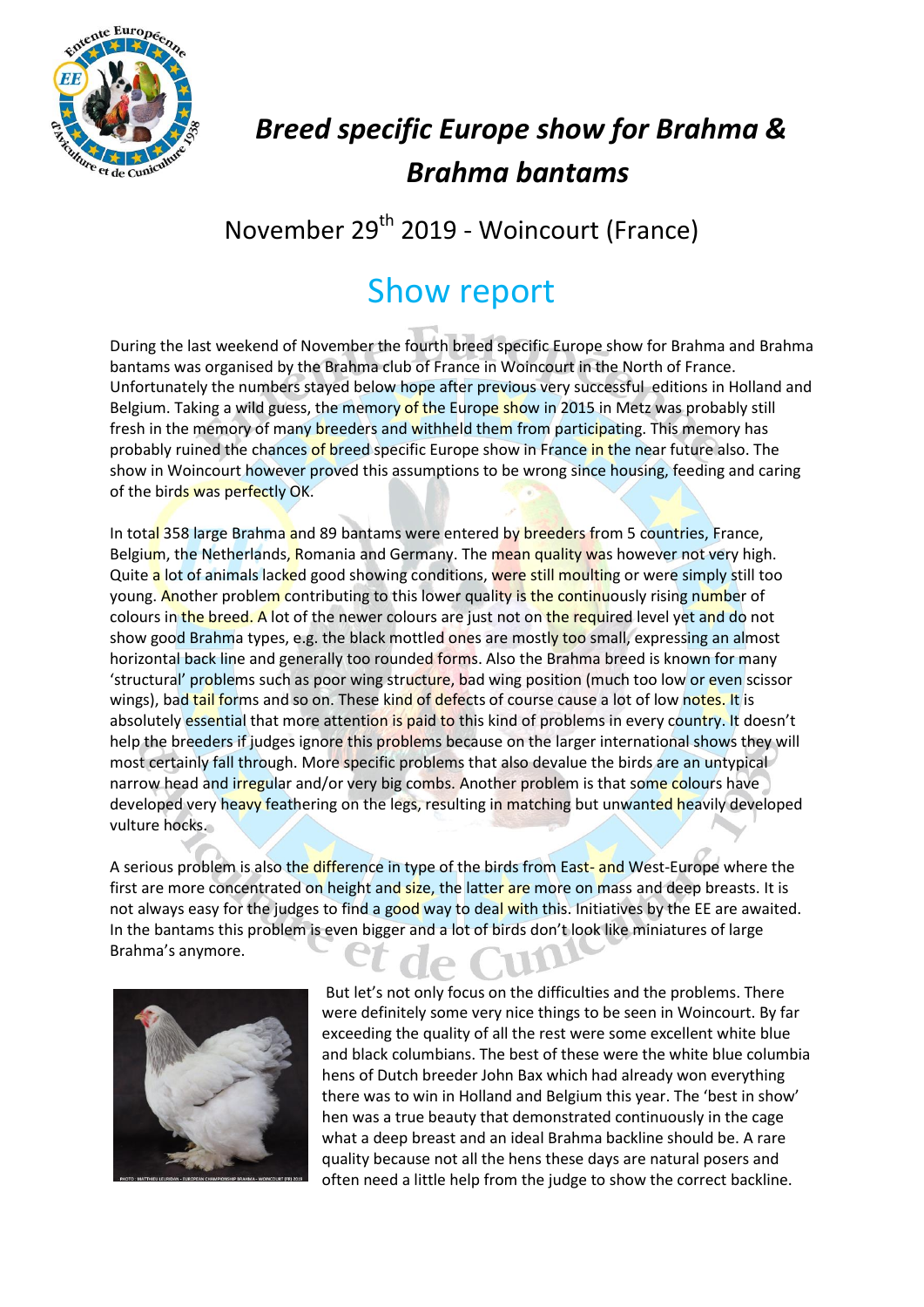

## *Breed specific Europe show for Brahma & Brahma bantams*

## November 29<sup>th</sup> 2019 - Woincourt (France)

## Show report

During the last weekend of November the fourth breed specific Europe show for Brahma and Brahma bantams was organised by the Brahma club of France in Woincourt in the North of France. Unfortunately the numbers stayed below hope after previous very successful editions in Holland and Belgium. Taking a wild guess, the memory of the Europe show in 2015 in Metz was probably still fresh in the memory of many breeders and withheld them from participating. This memory has probably ruined the chances of breed specific Europe show in France in the near future also. The show in Woincourt however proved this assumptions to be wrong since housing, feeding and caring of the birds was perfectly OK.

In total 358 large Brahma and 89 bantams were entered by breeders from 5 countries, France, Belgium, the Netherlands, Romania and Germany. The mean quality was however not very high. Quite a lot of animals lacked good showing conditions, were still moulting or were simply still too young. Another problem contributing to this lower quality is the continuously rising number of colours in the breed. A lot of the newer colours are just not on the required level yet and do not show good Brahma types, e.g. the black mottled ones are mostly too small, expressing an almost horizontal back line and generally too rounded forms. Also the Brahma breed is known for many 'structural' problems such as poor wing structure, bad wing position (much too low or even scissor wings), bad tail forms and so on. These kind of defects of course cause a lot of low notes. It is absolutely essential that more attention is paid to this kind of problems in every country. It doesn't help the breeders if judges ignore this problems because on the larger international shows they will most certainly fall through. More specific problems that also devalue the birds are an untypical narrow head and irregular and/or very big combs. Another problem is that some colours have developed very heavy feathering on the legs, resulting in matching but unwanted heavily developed vulture hocks.

A serious problem is also the difference in type of the birds from East- and West-Europe where the first are more concentrated on height and size, the latter are more on mass and deep breasts. It is not always easy for the judges to find a good way to deal with this. Initiatives by the EE are awaited. In the bantams this problem is even bigger and a lot of birds don't look like miniatures of large Brahma's anymore.



But let's not only focus on the difficulties and the problems. There were definitely some very nice things to be seen in Woincourt. By far exceeding the quality of all the rest were some excellent white blue and black columbians. The best of these were the white blue columbia hens of Dutch breeder John Bax which had already won everything there was to win in Holland and Belgium this year. The 'best in show' hen was a true beauty that demonstrated continuously in the cage what a deep breast and an ideal Brahma backline should be. A rare quality because not all the hens these days are natural posers and often need a little help from the judge to show the correct backline.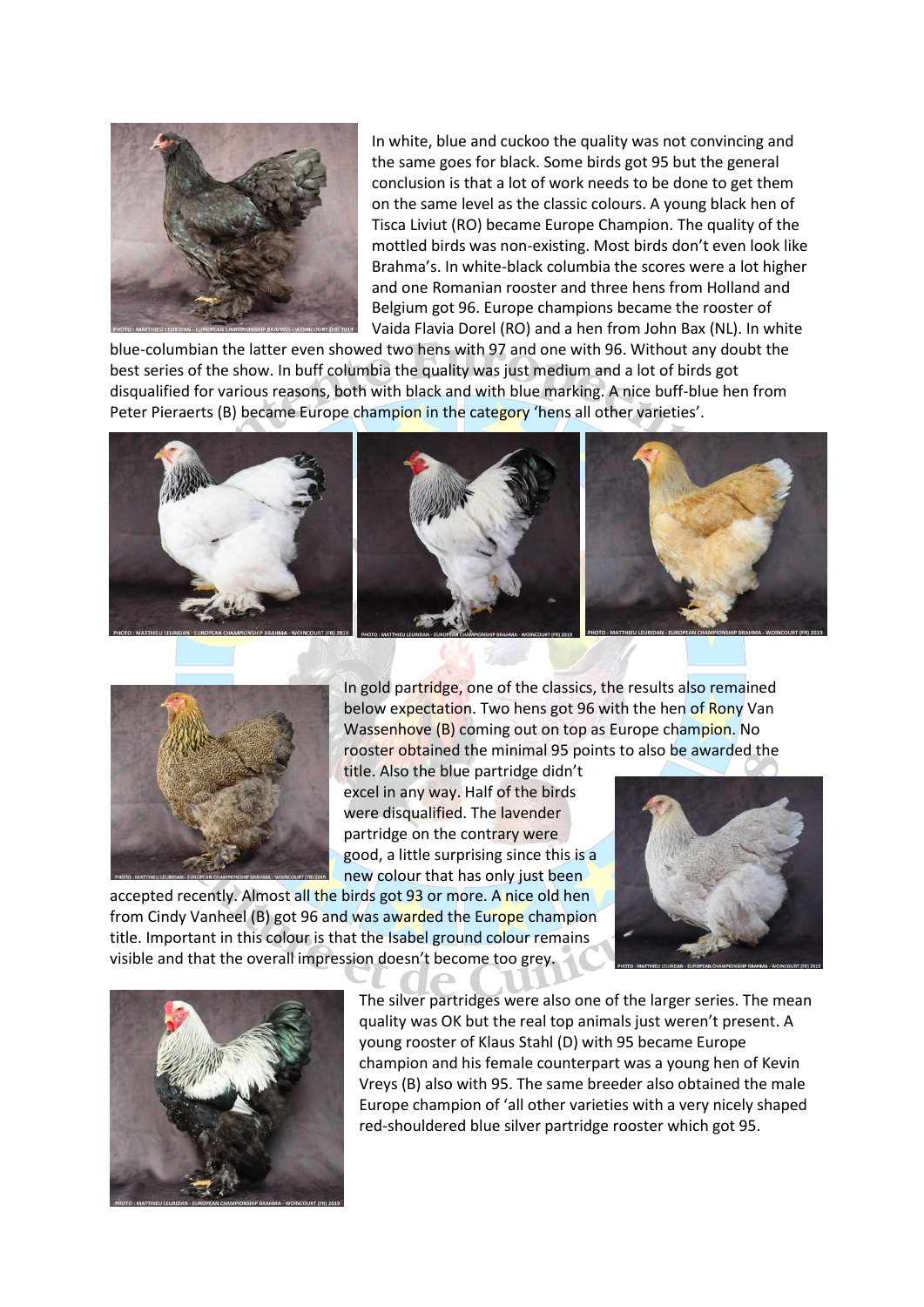

In white, blue and cuckoo the quality was not convincing and the same goes for black. Some birds got 95 but the general conclusion is that a lot of work needs to be done to get them on the same level as the classic colours. A young black hen of Tisca Liviut (RO) became Europe Champion. The quality of the mottled birds was non-existing. Most birds don't even look like Brahma's. In white-black columbia the scores were a lot higher and one Romanian rooster and three hens from Holland and Belgium got 96. Europe champions became the rooster of Vaida Flavia Dorel (RO) and a hen from John Bax (NL). In white

blue-columbian the latter even showed two hens with 97 and one with 96. Without any doubt the best series of the show. In buff columbia the quality was just medium and a lot of birds got disqualified for various reasons, both with black and with blue marking. A nice buff-blue hen from Peter Pieraerts (B) became Europe champion in the category 'hens all other varieties'.





In gold partridge, one of the classics, the results also remained below expectation. Two hens got 96 with the hen of Rony Van Wassenhove (B) coming out on top as Europe champion. No rooster obtained the minimal 95 points to also be awarded the

title. Also the blue partridge didn't excel in any way. Half of the birds were disqualified. The lavender partridge on the contrary were good, a little surprising since this is a new colour that has only just been

accepted recently. Almost all the birds got 93 or more. A nice old hen from Cindy Vanheel (B) got 96 and was awarded the Europe champion title. Important in this colour is that the Isabel ground colour remains visible and that the overall impression doesn't become too grey.





The silver partridges were also one of the larger series. The mean quality was OK but the real top animals just weren't present. A young rooster of Klaus Stahl (D) with 95 became Europe champion and his female counterpart was a young hen of Kevin Vreys (B) also with 95. The same breeder also obtained the male Europe champion of 'all other varieties with a very nicely shaped red-shouldered blue silver partridge rooster which got 95.